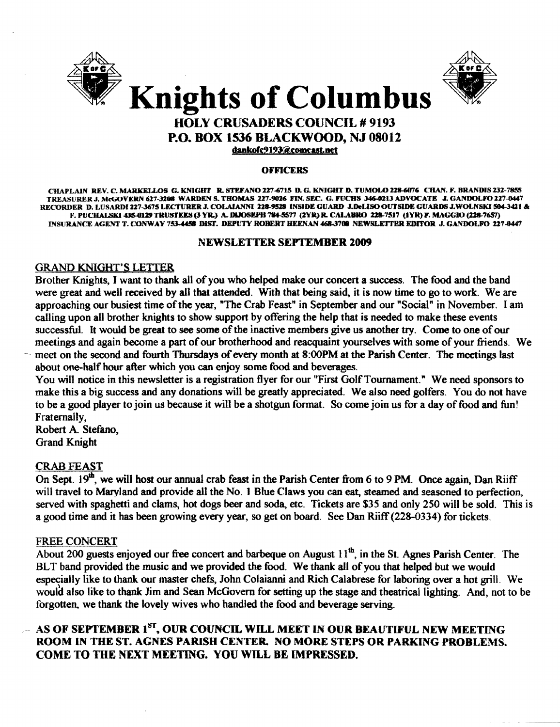



## HOLY CRUSADERS COUNCIL # 9193 P.O. BOX 1536 BLACKWOOD, NJ 08012 dankofc9193@comcast.net

#### OFFICERS

CHAPLAIN REV. C. MARKELLOS G. KNIGHT R. STEFANO 227-6715 D. G. KNIGHT D. TUMOLO 228-6076 CHAN. F. BRANDIS 232-7855 TREASURER J. McGOVERN 627-3208 WARDEN S. THOMAS 227-9026 FIN. SEC. G. FUCHS 346-0213 ADVOCATE J. GANDOLFO 227-0447 RECORDER D. LUSARDI 227-3675 LECTURER J. COLAIANNI 228-9528 INSIDE GUARD J.DeLISO OUTSIDE GUARDS J.WOLNSKI 504-3421 & F. PUCHALSKI 435-0129 TRUSTEES (3 YR.) A. DIJOSEPH 784-5577 (2YR) R. CALABRO 228-7517 (1YR) F. MAGGIO (228-7657) INSURANCE AGENT T. CONWAY 753-4458 DIST. DEPUTY ROBERT HEENAN 468-3708 NEWSLETTER EDITOR J. GANDOLFO 227-0447

#### NEWSLETTER SEPTEMBER 2009

### GRAND KNIGHT'S LETTER

Brother Knights, I want to thank all ofyou who helped make our concert a success. The food and the band were great and well received by all that attended. With that being said. it is now time to go to work. We are approaching our busiest time of the year, "The Crab Feast" in September and our "Social" in November. I am calling upon all brother knights to show support by offering the help that is needed to make these events successful. It would be great to see some of the inactive members give us another try. Come to one of our meetings and again become a part of our brotherhood and reacquaint yourselves with some of your friends. We meet on the second and fourth Thursdays of every month at 8:00PM at the Parish Center. The meetings last about one-half hour after which you can enjoy some food and beverages.

You will notice in this newsletter is a registration flyer for our "First Golf Tournament." We need sponsors to make this a big success and any donations will be greatly appreciated. We also need golfers. You do not have to be a good player to join us because it will be a shotgun format. So come join us for a day of food and fun! Fraternally,

Robert A. Stefano, Grand Knight

### CRAB FEAST

On Sept.  $19<sup>th</sup>$ , we will host our annual crab feast in the Parish Center from 6 to 9 PM. Once again, Dan Riiff will travel to Maryland and provide all the No. 1 Blue Claws you can eat, steamed and seasoned to perfection, served with spaghetti and clams, hot dogs beer and soda, etc. Tickets are \$35 and only 250 will be sold. This is a good time and it has been growing every year, so get on board. See Dan Riiff(228-0334) for tickets.

#### FREE CONCERT

About 200 guests enjoyed our free concert and barbeque on August  $11<sup>th</sup>$ , in the St. Agnes Parish Center. The BLT band provided the music and we provided the food. We thank all of you that helped but we would especially like to thank our master chefs, John Colaianni and Rich Calabrese for laboring over a hot grill. We would also like to thank Jim and Sean McGovern for setting up the stage and theatrical lighting. And, not to be forgotten, we thank the lovely wives who handled the food and beverage serving.

## $-$  AS OF SEPTEMBER 1 $^{\mathrm{ST}}$ , OUR COUNCIL WILL MEET IN OUR BEAUTIFUL NEW MEETING ROOM IN THE ST. AGNES PARISH CENTER. NO MORE STEPS OR PARKING PROBLEMS. COME TO THE NEXT MEETING. YOU WILL BE IMPRESSED.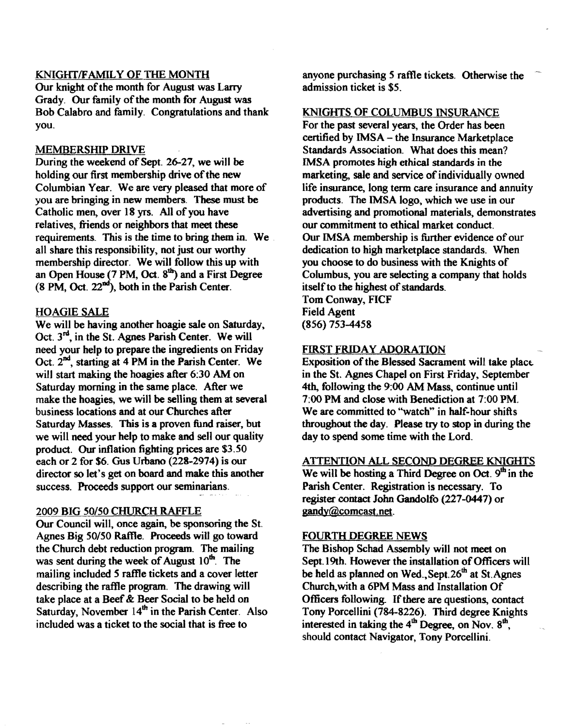#### KNIGHfIFAMILY OF THE MONTH

Our knight of the month for August was Larry Grady. Our family of the month for August was Bob Calabro and family. Congratulations and thank you.

#### MEMBERSHIP DRIVE

During the weekend of Sept. 26-27, we will be holding our first membership drive of the new Columbian Year. We are very pleased that more of you are bringing in new members. These must be Catholic men, over 18 yrs. All of you have relatives, friends or neighbors that meet these requirements. This is the time to bring them in. We all share this responsibility, not just our worthy membership director. We will follow this up with an Open House (7 PM, Oct.  $8<sup>th</sup>$ ) and a First Degree  $(8 \text{ PM}, \text{Oct. } 22^{\text{nd}}),$  both in the Parish Center.

#### HOAGIE SALE

We will be having another hoagie sale on Saturday, Oct. 3<sup>rd</sup>, in the St. Agnes Parish Center. We will need your help to prepare the ingredients on Friday Oct. 2<sup>nd</sup>, starting at 4 PM in the Parish Center. We will start making the hoagies after 6:30 AM on Saturday morning in the same place. After we make the hoagies, we will be selling them at several business locations and at our Churches after Saturday Masses. This is a proven fund raiser, but we will need your help to make and sell our quality product. Our inflation fighting prices are \$3.50 each or 2 for \$6. Gus Urbano (228-2974) is our director so let's get on board and make this another success. Proceeds support our seminarians.

#### 2009 BIG *50150* CHURCH RAFFLE

Our Council will, once again. be sponsoring the S1. Agnes Big *50/50* Raflle. Proceeds will go toward the Church debt reduction program. The mailing was sent during the week of August  $10^{th}$ . The mailing included 5 raffle tickets and a cover letter describing the raffle program. The drawing will take place at a Beef& Beer Social to be held on Saturday, November  $14<sup>th</sup>$  in the Parish Center. Also included was a ticket to the social that is free to

anyone purchasing 5 raffle tickets. Otherwise the admission ticket is \$5.

#### KNIGHTS OF COLUMBUS INSURANCE

For the past several years, the Order has been certified by IMSA - the Insurance Marketplace Standards Association. What does this mean? IMSA promotes high ethical standards in the marketing, sale and service of individually owned life insurance, long term care insurance and annuity products. The IMSA logo, which we use in our advertising and promotional materials, demonstrates our commitment to ethical market conduct. Our IMSA membership is further evidence of our dedication to high marketplace standards. When you choose to do business with the Knights of Columbus, you are selecting a company that holds itself to the highest of standards. Tom Conway, FICF

Field Agent (856) 753-4458

#### FIRST FRIDAY ADORATION

Exposition of the Blessed Sacrament will take place. in the St. Agnes Chapel on First Friday, September 4th, following the 9:00 AM Mass, continue until 7:00 PM and close with Benediction at 7:00 PM. We are committed to "watch" in half-hour shifts throughout the day. Please try to stop in during the day to spend some time with the Lord.

#### ATTENTION ALL SECOND DEGREE KNIGHTS

We will be hosting a Third Degree on Oct.  $9<sup>th</sup>$  in the Parish Center. Registration is necessary. To register contact John Gandolfo (227-0447) or gandy@comcast.net.

#### FOURTH DEGREE NEWS

The Bishop Schad Assembly will not meet on Sept. 19th. However the installation of Officers will be held as planned on Wed., Sept. 26<sup>th</sup> at St. Agnes Church,with a 6PM Mass and Installation Of Officers following. If there are questions, contact Tony Porcellini (784-8226). Third degree Knights interested in taking the  $4<sup>th</sup>$  Degree, on Nov.  $8<sup>th</sup>$ , should contact Navigator, Tony Porcellini.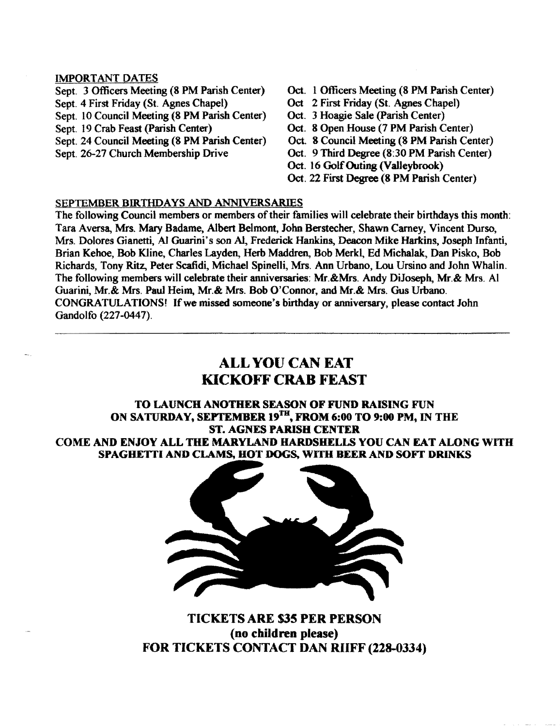#### IMPORTANT DATES

Sept. 3 Officers Meeting (8 PM Parish Center) Oct. 1 Officers Meeting (8 PM Parish Center) Sept. 4 First Friday (St. Agnes Chapel) Oct 2 First Friday (St. Agnes Chapel) Sept. 10 Council Meeting (8 PM Parish Center) Oct. 3 Hoagie Sale (Parish Center)<br>Sept. 19 Crab Feast (Parish Center) Oct. 8 Open House (7 PM Parish C Sept. 24 Council Meeting (8 PM Parish Center)

- 
- 
- 
- Oct. 8 Open House (7 PM Parish Center)<br>Oct. 8 Council Meeting (8 PM Parish Center)
- 
- Sept. 26-27 Church Membership Drive Oct. 9 Third Degree (8:30 PM Parish Center)
	- Oct. 16 Golf Outing (Valleybrook)
	- Oct. 22 First Degree (8 PM Parish Center)

#### SEPTEMBER BIRTHDAYS AND ANNIVERSARIES

The following Council members or members of their families will celebrate their birthdays this month: Tara Aversa, Mrs. Mary Badame, Albert Belmont, John Berstecher, Shawn Carney, Vincent Durso, Mrs. Dolores Gianetti, Al Guarini's son Al, Frederick Hankins, Deacon Mike Harkins, Joseph Infanti, Brian Kehoe, Bob Kline, Charles Layden, Herb Maddren, Bob Merkl, Ed Michalak, Dan Pisko, Bob Richards, Tony Ritz, Peter Scafidi, Michael Spinelli, Mrs. Ann Urbano, Lou Ursino and John Whalin. The following members will celebrate their anniversaries: Mr.&Mrs. Andy Diloseph, Mr.& Mrs. Al Guarini, Mr.& Mrs. Paul Heim, Mr.& Mrs. Bob O'Connor, and Mr.& Mrs. Gus Urbano. CONGRATULATIONS! If we missed someone's birthday or anniversary, please contact John Gandolfo (227-0447).

# ALL YOU CAN EAT KICKOFF CRAB FEAST

### TO LAUNCH ANOTHER SEASON OF FUND RAISING FUN ON SATURDAY, SEPTEMBER 19<sup>TH</sup>, FROM 6:00 TO 9:00 PM, IN THE ST. AGNES PARISH CENTER COME AND ENJOY ALL THE MARYLAND HARDSHELLS YOU CAN EAT ALONG WITH SPAGHETTI AND CLAMS, BOT DOGs, WITH BEER AND SOFT DRINKS



TICKETS ARE 535 PER PERSON (no children please) FOR TICKETS CONTACT DAN RUFF (228-0334)